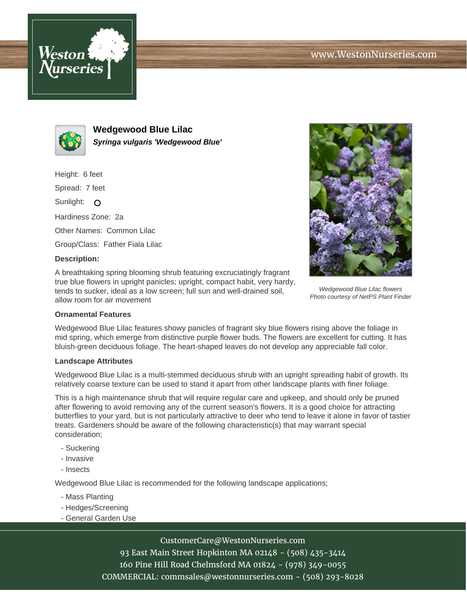



**Wedgewood Blue Lilac Syringa vulgaris 'Wedgewood Blue'**

Height: 6 feet

Spread: 7 feet

Sunlight: O

Hardiness Zone: 2a

Other Names: Common Lilac

Group/Class: Father Fiala Lilac

## **Description:**

A breathtaking spring blooming shrub featuring excruciatingly fragrant true blue flowers in upright panicles; upright, compact habit, very hardy, tends to sucker, ideal as a low screen; full sun and well-drained soil, allow room for air movement



Wedgewood Blue Lilac flowers Photo courtesy of NetPS Plant Finder

## **Ornamental Features**

Wedgewood Blue Lilac features showy panicles of fragrant sky blue flowers rising above the foliage in mid spring, which emerge from distinctive purple flower buds. The flowers are excellent for cutting. It has bluish-green deciduous foliage. The heart-shaped leaves do not develop any appreciable fall color.

#### **Landscape Attributes**

Wedgewood Blue Lilac is a multi-stemmed deciduous shrub with an upright spreading habit of growth. Its relatively coarse texture can be used to stand it apart from other landscape plants with finer foliage.

This is a high maintenance shrub that will require regular care and upkeep, and should only be pruned after flowering to avoid removing any of the current season's flowers. It is a good choice for attracting butterflies to your yard, but is not particularly attractive to deer who tend to leave it alone in favor of tastier treats. Gardeners should be aware of the following characteristic(s) that may warrant special consideration;

- Suckering
- Invasive
- Insects

Wedgewood Blue Lilac is recommended for the following landscape applications;

- Mass Planting
- Hedges/Screening
- General Garden Use

# CustomerCare@WestonNurseries.com

93 East Main Street Hopkinton MA 02148 - (508) 435-3414 160 Pine Hill Road Chelmsford MA 01824 - (978) 349-0055 COMMERCIAL: commsales@westonnurseries.com - (508) 293-8028